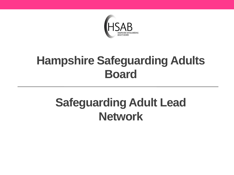

### **Hampshire Safeguarding Adults Board**

## **Safeguarding Adult Lead Network**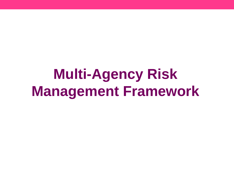# **Multi-Agency Risk Management Framework**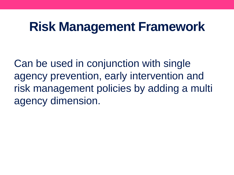# **Risk Management Framework**

Can be used in conjunction with single agency prevention, early intervention and risk management policies by adding a multi agency dimension.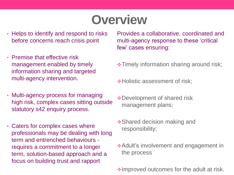# **Overview**

- Helps to identify and respond to risks before concerns reach crisis point
- Premise that effective risk management enabled by timely information sharing and targeted multi-agency intervention.
- Multi-agency process for managing high risk, complex cases sitting outside statutory s42 enquiry process.
- Caters for complex cases where professionals may be dealing with long term and entrenched behaviours requires a commitment to a longer term, solution-based approach and a focus on building trust and rapport

Provides a collaborative, coordinated and multi-agency response to these 'critical few' cases ensuring:

- $\div$  **Timely information sharing around risk;**
- **∻Holistic assessment of risk;**
- Development of shared risk management plans;
- **❖ Shared decision making and** responsibility;
- **Adult's involvement and engagement in** the process
- $\triangle$ Improved outcomes for the adult at risk.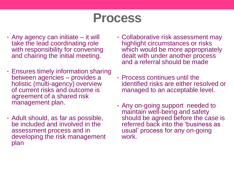### **Process**

- Any agency can initiate it will take the lead coordinating role with responsibility for convening and chairing the initial meeting.
- Ensures timely information sharing between agencies – provides a holistic (multi-agency) overview of current risks and outcome is agreement of a shared risk management plan.
- Adult should, as far as possible, be included and involved in the assessment process and in developing the risk management plan
- Collaborative risk assessment may highlight circumstances or risks which would be more appropriately dealt with under another process and a referral should be made
- Process continues until the identified risks are either resolved or managed to an acceptable level.
- Any on-going support needed to maintain well-being and safety should be agreed before the case is referred back into the 'business as usual' process for any on-going work.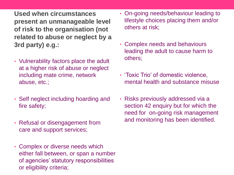**Used when circumstances present an unmanageable level of risk to the organisation (not related to abuse or neglect by a 3rd party) e.g.:**

- Vulnerability factors place the adult at a higher risk of abuse or neglect including mate crime, network abuse, etc.;
- Self neglect including hoarding and fire safety;
- Refusal or disengagement from care and support services;
- Complex or diverse needs which either fall between, or span a number of agencies' statutory responsibilities or eligibility criteria;
- On-going needs/behaviour leading to lifestyle choices placing them and/or others at risk;
- Complex needs and behaviours leading the adult to cause harm to others;
- 'Toxic Trio' of domestic violence, mental health and substance misuse
- Risks previously addressed via a section 42 enquiry but for which the need for on-going risk management and monitoring has been identified.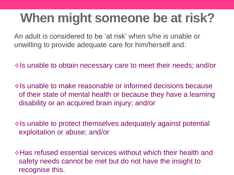# **When might someone be at risk?**

An adult is considered to be 'at risk' when s/he is unable or unwilling to provide adequate care for him/herself and:

 $\triangleleft$  Is unable to obtain necessary care to meet their needs; and/or

 $\cdot$  Is unable to make reasonable or informed decisions because of their state of mental health or because they have a learning disability or an acquired brain injury; and/or

 $\triangle$  is unable to protect themselves adequately against potential exploitation or abuse; and/or

**In the set of the set of the services without which their health and \*** safety needs cannot be met but do not have the insight to recognise this.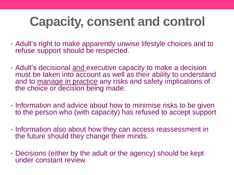# **Capacity, consent and control**

- Adult's right to make apparently unwise lifestyle choices and to refuse support should be respected.
- Adult's decisional and executive capacity to make a decision must be taken into account as well as their ability to understand and to manage in practice any risks and safety implications of the choice or decision being made.
- Information and advice about how to minimise risks to be given to the person who (with capacity) has refused to accept support
- Information also about how they can access reassessment in the future should they change their minds.
- Decisions (either by the adult or the agency) should be kept under constant review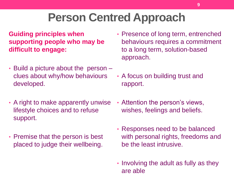## **Person Centred Approach**

#### **Guiding principles when supporting people who may be difficult to engage:**

- Build a picture about the person clues about why/how behaviours developed.
- A right to make apparently unwise lifestyle choices and to refuse support.
- Premise that the person is best placed to judge their wellbeing.
- Presence of long term, entrenched behaviours requires a commitment to a long term, solution-based approach.
- A focus on building trust and rapport.
- Attention the person's views, wishes, feelings and beliefs.
- Responses need to be balanced with personal rights, freedoms and be the least intrusive.
- Involving the adult as fully as they are able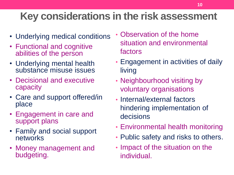#### **Key considerations in the risk assessment**

- Underlying medical conditions
- Functional and cognitive abilities of the person
- Underlying mental health substance misuse issues
- Decisional and executive capacity
- Care and support offered/in place
- Engagement in care and support plans
- Family and social support networks
- Money management and budgeting.
- Observation of the home situation and environmental factors
- Engagement in activities of daily living
- Neighbourhood visiting by voluntary organisations
- Internal/external factors hindering implementation of decisions
- Environmental health monitoring
- Public safety and risks to others.
- Impact of the situation on the individual.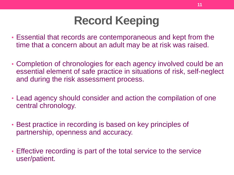## **Record Keeping**

- Essential that records are contemporaneous and kept from the time that a concern about an adult may be at risk was raised.
- Completion of chronologies for each agency involved could be an essential element of safe practice in situations of risk, self-neglect and during the risk assessment process.
- Lead agency should consider and action the compilation of one central chronology.
- Best practice in recording is based on key principles of partnership, openness and accuracy.
- Effective recording is part of the total service to the service user/patient.